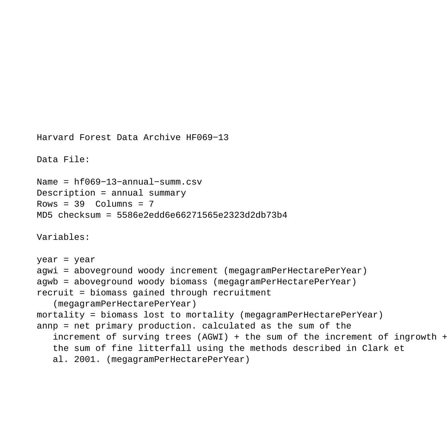```
Harvard Forest Data Archive HF069−13
Data File:
Name = hf069−13−annual−summ.csv
Description = annual summary 
Rows = 39 Columns = 7MD5 checksum = 5586e2edd6e66271565e2323d2db73b4
Variables:
year = year 
agwi = aboveground woody increment (megagramPerHectarePerYear) 
agwb = aboveground woody biomass (megagramPerHectarePerYear) 
recruit = biomass gained through recruitment 
    (megagramPerHectarePerYear) 
mortality = biomass lost to mortality (megagramPerHectarePerYear) 
annp = net primary production. calculated as the sum of the 
    increment of surving trees (AGWI) + the sum of the increment of ingrowth + 
    the sum of fine litterfall using the methods described in Clark et 
    al. 2001. (megagramPerHectarePerYear)
```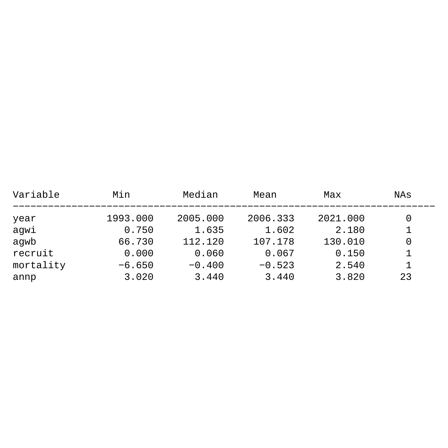| Variable  | Min      | Median   | Mean     | Max      | NAs |
|-----------|----------|----------|----------|----------|-----|
| year      | 1993.000 | 2005.000 | 2006.333 | 2021.000 | 0   |
| agwi      | 0.750    | 1.635    | 1.602    | 2.180    |     |
| aqwb      | 66.730   | 112.120  | 107.178  | 130.010  | 0   |
| recruit   | 0.000    | 0.060    | 0.067    | 0.150    |     |
| mortality | $-6.650$ | $-0.400$ | $-0.523$ | 2.540    |     |
| annp      | 3.020    | 3.440    | 3.440    | 3.820    | 23  |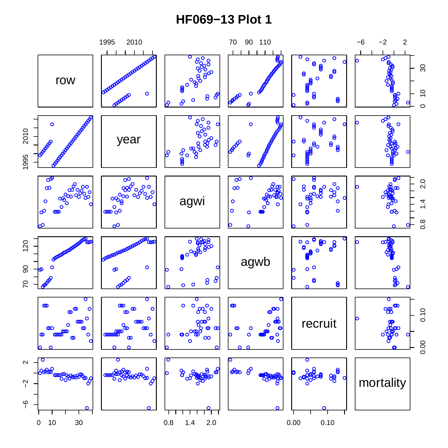## **HF069−13 Plot 1**